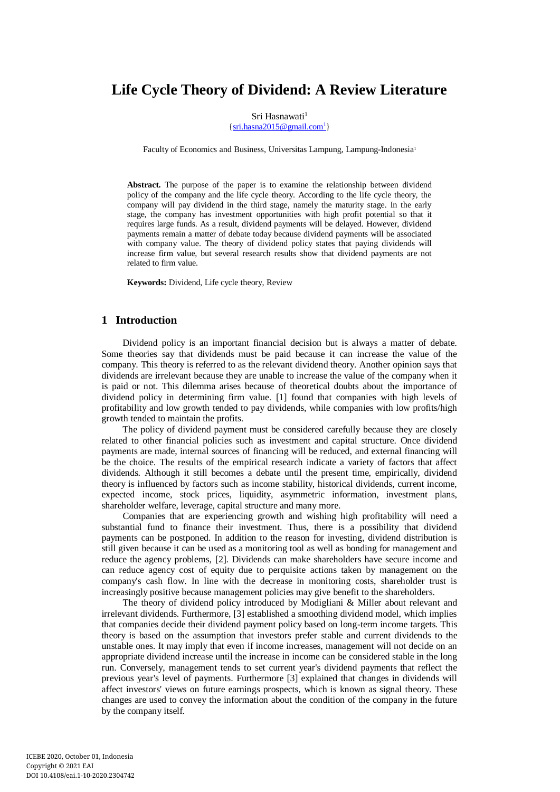# **Life Cycle Theory of Dividend: A Review Literature**

#### Sri Hasnawati<sup>1</sup>

 $\{sri. hasna2015@gmail.com<sup>1</sup>\}$ 

Faculty of Economics and Business, Universitas Lampung, Lampung-Indonesia<sup>1</sup>

**Abstract.** The purpose of the paper is to examine the relationship between dividend policy of the company and the life cycle theory. According to the life cycle theory, the company will pay dividend in the third stage, namely the maturity stage. In the early stage, the company has investment opportunities with high profit potential so that it requires large funds. As a result, dividend payments will be delayed. However, dividend payments remain a matter of debate today because dividend payments will be associated with company value. The theory of dividend policy states that paying dividends will increase firm value, but several research results show that dividend payments are not related to firm value.

**Keywords:** Dividend, Life cycle theory, Review

# **1 Introduction**

Dividend policy is an important financial decision but is always a matter of debate. Some theories say that dividends must be paid because it can increase the value of the company. This theory is referred to as the relevant dividend theory. Another opinion says that dividends are irrelevant because they are unable to increase the value of the company when it is paid or not. This dilemma arises because of theoretical doubts about the importance of dividend policy in determining firm value. [1] found that companies with high levels of profitability and low growth tended to pay dividends, while companies with low profits/high growth tended to maintain the profits.

The policy of dividend payment must be considered carefully because they are closely related to other financial policies such as investment and capital structure. Once dividend payments are made, internal sources of financing will be reduced, and external financing will be the choice. The results of the empirical research indicate a variety of factors that affect dividends. Although it still becomes a debate until the present time, empirically, dividend theory is influenced by factors such as income stability, historical dividends, current income, expected income, stock prices, liquidity, asymmetric information, investment plans, shareholder welfare, leverage, capital structure and many more.

Companies that are experiencing growth and wishing high profitability will need a substantial fund to finance their investment. Thus, there is a possibility that dividend payments can be postponed. In addition to the reason for investing, dividend distribution is still given because it can be used as a monitoring tool as well as bonding for management and reduce the agency problems, [2]. Dividends can make shareholders have secure income and can reduce agency cost of equity due to perquisite actions taken by management on the company's cash flow. In line with the decrease in monitoring costs, shareholder trust is increasingly positive because management policies may give benefit to the shareholders.

The theory of dividend policy introduced by Modigliani & Miller about relevant and irrelevant dividends. Furthermore, [3] established a smoothing dividend model, which implies that companies decide their dividend payment policy based on long-term income targets. This theory is based on the assumption that investors prefer stable and current dividends to the unstable ones. It may imply that even if income increases, management will not decide on an appropriate dividend increase until the increase in income can be considered stable in the long run. Conversely, management tends to set current year's dividend payments that reflect the previous year's level of payments. Furthermore [3] explained that changes in dividends will affect investors' views on future earnings prospects, which is known as signal theory. These changes are used to convey the information about the condition of the company in the future by the company itself.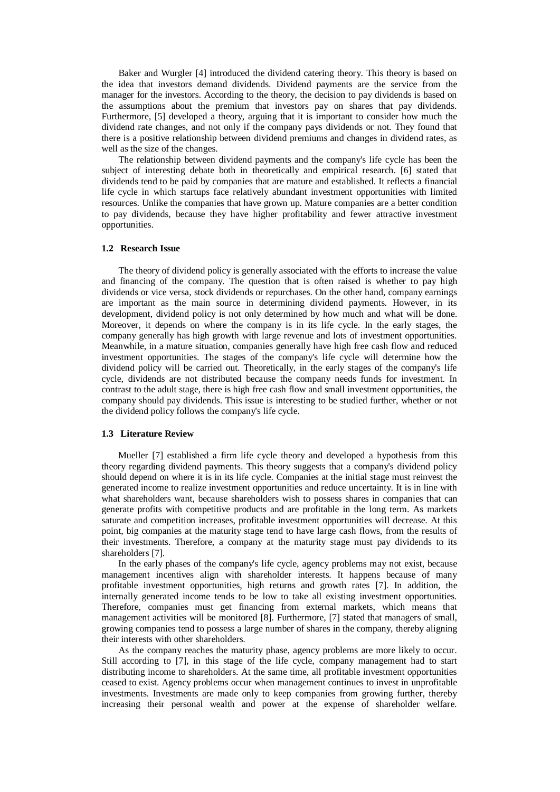Baker and Wurgler [4] introduced the dividend catering theory. This theory is based on the idea that investors demand dividends. Dividend payments are the service from the manager for the investors. According to the theory, the decision to pay dividends is based on the assumptions about the premium that investors pay on shares that pay dividends. Furthermore, [5] developed a theory, arguing that it is important to consider how much the dividend rate changes, and not only if the company pays dividends or not. They found that there is a positive relationship between dividend premiums and changes in dividend rates, as well as the size of the changes.

The relationship between dividend payments and the company's life cycle has been the subject of interesting debate both in theoretically and empirical research. [6] stated that dividends tend to be paid by companies that are mature and established. It reflects a financial life cycle in which startups face relatively abundant investment opportunities with limited resources. Unlike the companies that have grown up. Mature companies are a better condition to pay dividends, because they have higher profitability and fewer attractive investment opportunities.

#### **1.2 Research Issue**

The theory of dividend policy is generally associated with the efforts to increase the value and financing of the company. The question that is often raised is whether to pay high dividends or vice versa, stock dividends or repurchases. On the other hand, company earnings are important as the main source in determining dividend payments. However, in its development, dividend policy is not only determined by how much and what will be done. Moreover, it depends on where the company is in its life cycle. In the early stages, the company generally has high growth with large revenue and lots of investment opportunities. Meanwhile, in a mature situation, companies generally have high free cash flow and reduced investment opportunities. The stages of the company's life cycle will determine how the dividend policy will be carried out. Theoretically, in the early stages of the company's life cycle, dividends are not distributed because the company needs funds for investment. In contrast to the adult stage, there is high free cash flow and small investment opportunities, the company should pay dividends. This issue is interesting to be studied further, whether or not the dividend policy follows the company's life cycle.

#### **1.3 Literature Review**

Mueller [7] established a firm life cycle theory and developed a hypothesis from this theory regarding dividend payments. This theory suggests that a company's dividend policy should depend on where it is in its life cycle. Companies at the initial stage must reinvest the generated income to realize investment opportunities and reduce uncertainty. It is in line with what shareholders want, because shareholders wish to possess shares in companies that can generate profits with competitive products and are profitable in the long term. As markets saturate and competition increases, profitable investment opportunities will decrease. At this point, big companies at the maturity stage tend to have large cash flows, from the results of their investments. Therefore, a company at the maturity stage must pay dividends to its shareholders [7].

In the early phases of the company's life cycle, agency problems may not exist, because management incentives align with shareholder interests. It happens because of many profitable investment opportunities, high returns and growth rates [7]. In addition, the internally generated income tends to be low to take all existing investment opportunities. Therefore, companies must get financing from external markets, which means that management activities will be monitored [8]. Furthermore, [7] stated that managers of small, growing companies tend to possess a large number of shares in the company, thereby aligning their interests with other shareholders.

As the company reaches the maturity phase, agency problems are more likely to occur. Still according to [7], in this stage of the life cycle, company management had to start distributing income to shareholders. At the same time, all profitable investment opportunities ceased to exist. Agency problems occur when management continues to invest in unprofitable investments. Investments are made only to keep companies from growing further, thereby increasing their personal wealth and power at the expense of shareholder welfare.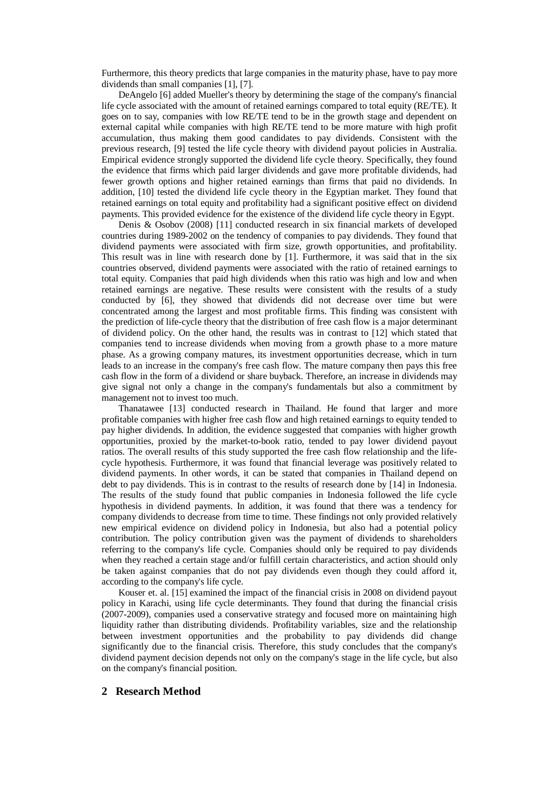Furthermore, this theory predicts that large companies in the maturity phase, have to pay more dividends than small companies [1], [7].

DeAngelo [6] added Mueller's theory by determining the stage of the company's financial life cycle associated with the amount of retained earnings compared to total equity (RE/TE). It goes on to say, companies with low RE/TE tend to be in the growth stage and dependent on external capital while companies with high RE/TE tend to be more mature with high profit accumulation, thus making them good candidates to pay dividends. Consistent with the previous research, [9] tested the life cycle theory with dividend payout policies in Australia. Empirical evidence strongly supported the dividend life cycle theory. Specifically, they found the evidence that firms which paid larger dividends and gave more profitable dividends, had fewer growth options and higher retained earnings than firms that paid no dividends. In addition, [10] tested the dividend life cycle theory in the Egyptian market. They found that retained earnings on total equity and profitability had a significant positive effect on dividend payments. This provided evidence for the existence of the dividend life cycle theory in Egypt.

Denis & Osobov (2008) [11] conducted research in six financial markets of developed countries during 1989-2002 on the tendency of companies to pay dividends. They found that dividend payments were associated with firm size, growth opportunities, and profitability. This result was in line with research done by [1]. Furthermore, it was said that in the six countries observed, dividend payments were associated with the ratio of retained earnings to total equity. Companies that paid high dividends when this ratio was high and low and when retained earnings are negative. These results were consistent with the results of a study conducted by [6], they showed that dividends did not decrease over time but were concentrated among the largest and most profitable firms. This finding was consistent with the prediction of life-cycle theory that the distribution of free cash flow is a major determinant of dividend policy. On the other hand, the results was in contrast to [12] which stated that companies tend to increase dividends when moving from a growth phase to a more mature phase. As a growing company matures, its investment opportunities decrease, which in turn leads to an increase in the company's free cash flow. The mature company then pays this free cash flow in the form of a dividend or share buyback. Therefore, an increase in dividends may give signal not only a change in the company's fundamentals but also a commitment by management not to invest too much.

Thanatawee [13] conducted research in Thailand. He found that larger and more profitable companies with higher free cash flow and high retained earnings to equity tended to pay higher dividends. In addition, the evidence suggested that companies with higher growth opportunities, proxied by the market-to-book ratio, tended to pay lower dividend payout ratios. The overall results of this study supported the free cash flow relationship and the lifecycle hypothesis. Furthermore, it was found that financial leverage was positively related to dividend payments. In other words, it can be stated that companies in Thailand depend on debt to pay dividends. This is in contrast to the results of research done by [14] in Indonesia. The results of the study found that public companies in Indonesia followed the life cycle hypothesis in dividend payments. In addition, it was found that there was a tendency for company dividends to decrease from time to time. These findings not only provided relatively new empirical evidence on dividend policy in Indonesia, but also had a potential policy contribution. The policy contribution given was the payment of dividends to shareholders referring to the company's life cycle. Companies should only be required to pay dividends when they reached a certain stage and/or fulfill certain characteristics, and action should only be taken against companies that do not pay dividends even though they could afford it, according to the company's life cycle.

Kouser et. al. [15] examined the impact of the financial crisis in 2008 on dividend payout policy in Karachi, using life cycle determinants. They found that during the financial crisis (2007-2009), companies used a conservative strategy and focused more on maintaining high liquidity rather than distributing dividends. Profitability variables, size and the relationship between investment opportunities and the probability to pay dividends did change significantly due to the financial crisis. Therefore, this study concludes that the company's dividend payment decision depends not only on the company's stage in the life cycle, but also on the company's financial position.

## **2 Research Method**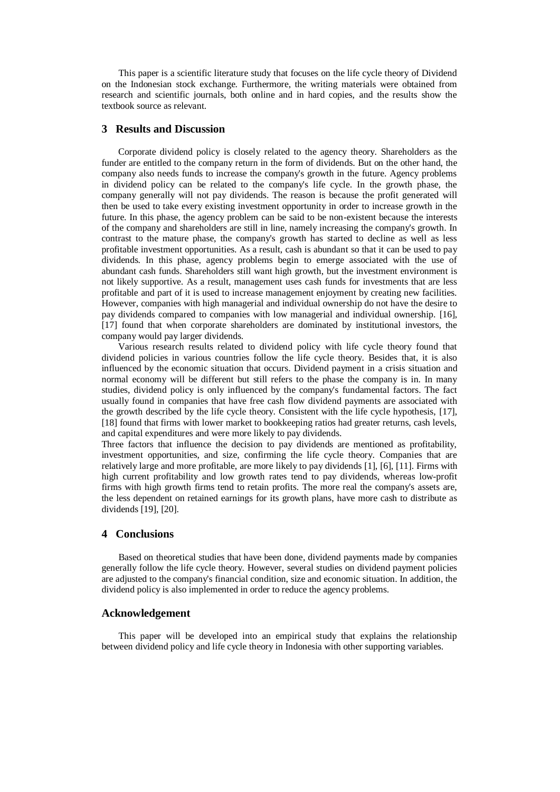This paper is a scientific literature study that focuses on the life cycle theory of Dividend on the Indonesian stock exchange. Furthermore, the writing materials were obtained from research and scientific journals, both online and in hard copies, and the results show the textbook source as relevant.

## **3 Results and Discussion**

Corporate dividend policy is closely related to the agency theory. Shareholders as the funder are entitled to the company return in the form of dividends. But on the other hand, the company also needs funds to increase the company's growth in the future. Agency problems in dividend policy can be related to the company's life cycle. In the growth phase, the company generally will not pay dividends. The reason is because the profit generated will then be used to take every existing investment opportunity in order to increase growth in the future. In this phase, the agency problem can be said to be non-existent because the interests of the company and shareholders are still in line, namely increasing the company's growth. In contrast to the mature phase, the company's growth has started to decline as well as less profitable investment opportunities. As a result, cash is abundant so that it can be used to pay dividends. In this phase, agency problems begin to emerge associated with the use of abundant cash funds. Shareholders still want high growth, but the investment environment is not likely supportive. As a result, management uses cash funds for investments that are less profitable and part of it is used to increase management enjoyment by creating new facilities. However, companies with high managerial and individual ownership do not have the desire to pay dividends compared to companies with low managerial and individual ownership. [16], [17] found that when corporate shareholders are dominated by institutional investors, the company would pay larger dividends.

Various research results related to dividend policy with life cycle theory found that dividend policies in various countries follow the life cycle theory. Besides that, it is also influenced by the economic situation that occurs. Dividend payment in a crisis situation and normal economy will be different but still refers to the phase the company is in. In many studies, dividend policy is only influenced by the company's fundamental factors. The fact usually found in companies that have free cash flow dividend payments are associated with the growth described by the life cycle theory. Consistent with the life cycle hypothesis, [17], [18] found that firms with lower market to bookkeeping ratios had greater returns, cash levels, and capital expenditures and were more likely to pay dividends.

Three factors that influence the decision to pay dividends are mentioned as profitability, investment opportunities, and size, confirming the life cycle theory. Companies that are relatively large and more profitable, are more likely to pay dividends [1], [6], [11]. Firms with high current profitability and low growth rates tend to pay dividends, whereas low-profit firms with high growth firms tend to retain profits. The more real the company's assets are, the less dependent on retained earnings for its growth plans, have more cash to distribute as dividends [19], [20].

## **4 Conclusions**

Based on theoretical studies that have been done, dividend payments made by companies generally follow the life cycle theory. However, several studies on dividend payment policies are adjusted to the company's financial condition, size and economic situation. In addition, the dividend policy is also implemented in order to reduce the agency problems.

# **Acknowledgement**

This paper will be developed into an empirical study that explains the relationship between dividend policy and life cycle theory in Indonesia with other supporting variables.